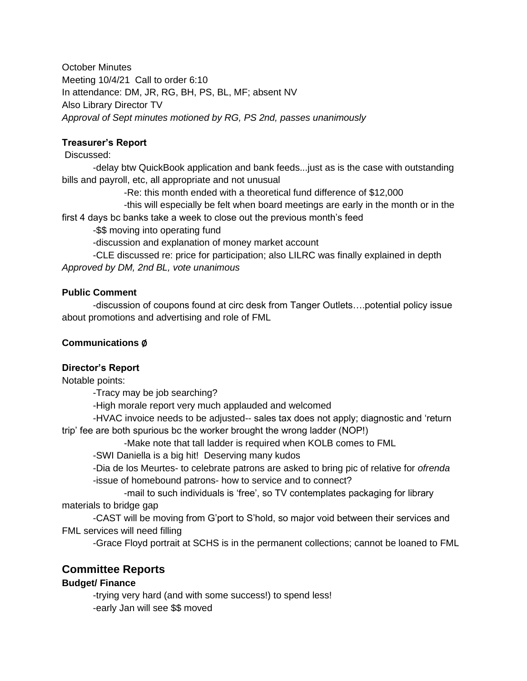October Minutes Meeting 10/4/21 Call to order 6:10 In attendance: DM, JR, RG, BH, PS, BL, MF; absent NV Also Library Director TV *Approval of Sept minutes motioned by RG, PS 2nd, passes unanimously*

# **Treasurer's Report**

Discussed:

-delay btw QuickBook application and bank feeds...just as is the case with outstanding bills and payroll, etc, all appropriate and not unusual

-Re: this month ended with a theoretical fund difference of \$12,000

-this will especially be felt when board meetings are early in the month or in the first 4 days bc banks take a week to close out the previous month's feed

-\$\$ moving into operating fund

-discussion and explanation of money market account

-CLE discussed re: price for participation; also LILRC was finally explained in depth *Approved by DM, 2nd BL, vote unanimous*

#### **Public Comment**

-discussion of coupons found at circ desk from Tanger Outlets….potential policy issue about promotions and advertising and role of FML

# **Communications** ∅

#### **Director's Report**

Notable points:

-Tracy may be job searching?

-High morale report very much applauded and welcomed

-HVAC invoice needs to be adjusted-- sales tax does not apply; diagnostic and 'return trip' fee are both spurious bc the worker brought the wrong ladder (NOP!)

-Make note that tall ladder is required when KOLB comes to FML

-SWI Daniella is a big hit! Deserving many kudos

-Dia de los Meurtes- to celebrate patrons are asked to bring pic of relative for *ofrenda* -issue of homebound patrons- how to service and to connect?

-mail to such individuals is 'free', so TV contemplates packaging for library materials to bridge gap

-CAST will be moving from G'port to S'hold, so major void between their services and FML services will need filling

-Grace Floyd portrait at SCHS is in the permanent collections; cannot be loaned to FML

# **Committee Reports**

## **Budget/ Finance**

-trying very hard (and with some success!) to spend less! -early Jan will see \$\$ moved